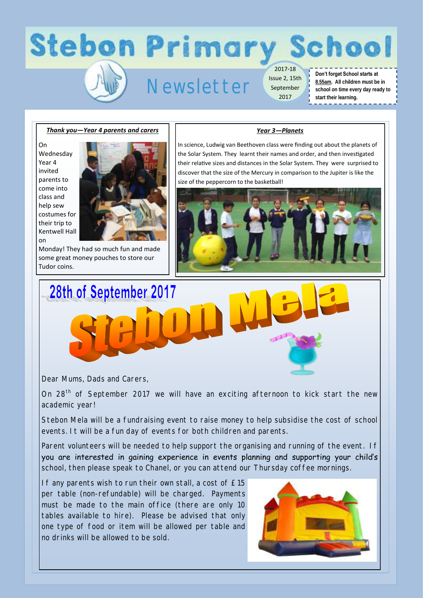# **Stebon Primary School**

## Newsletter

2017-18 Issue 2, 15th September 2017

#### **Don't forget School starts at 8.55am. All children must be in school on time every day ready to start their learning.**

-------

#### *Thank you—Year 4 parents and carers*

On Wednesday Year 4 invited parents to come into class and help sew costumes for their trip to Kentwell Hall



on Monday! They had so much fun and made some great money pouches to store our Tudor coins.

#### *Year 3—Planets*

In science, Ludwig van Beethoven class were finding out about the planets of the Solar System. They learnt their names and order, and then investigated their relative sizes and distances in the Solar System. They were surprised to discover that the size of the Mercury in comparison to the Jupiter is like the size of the peppercorn to the basketball!





Dear Mums, Dads and Carers,

On 28<sup>th</sup> of September 2017 we will have an exciting afternoon to kick start the new academic year!

Stebon Mela will be a fundraising event to raise money to help subsidise the cost of school events. It will be a fun day of events for both children and parents.

Parent volunteers will be needed to help support the organising and running of the event. If you are interested in gaining experience in events planning and supporting your child's school, then please speak to Chanel, or you can attend our Thursday coffee mornings.

If any parents wish to run their own stall, a cost of £15 per table (non-refundable) will be charged. Payments must be made to the main office (there are only 10 tables available to hire). Please be advised that only one type of food or item will be allowed per table and no drinks will be allowed to be sold.